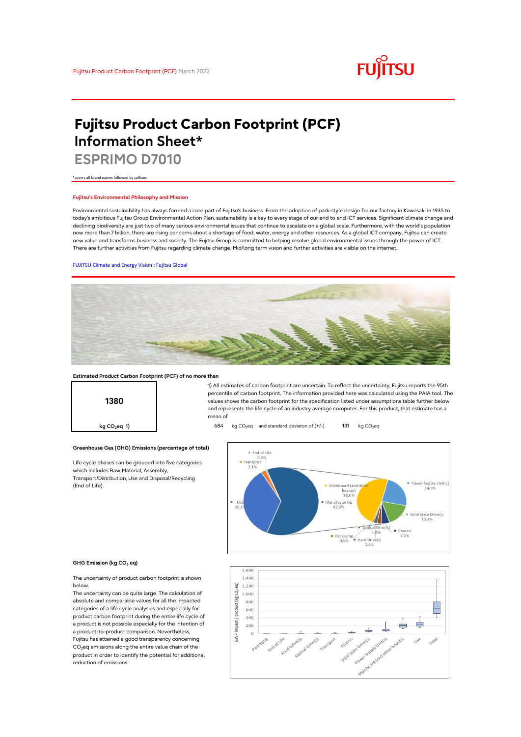

# **Fujitsu Product Carbon Footprint (PCF) Information Sheet\***

**ESPRIMO D7010**

\*covers all brand names followed by suffixes

### **Fujitsu's Environmental Philosophy and Mission**

Environmental sustainability has always formed a core part of Fujitsu's business. From the adoption of park-style design for our factory in Kawasaki in 1935 to today's ambitious Fujitsu Group Environmental Action Plan, sustainability is a key to every stage of our end to end ICT services. Significant climate change and declining biodiversity are just two of many serious environmental issues that continue to escalate on a global scale. Furthermore, with the world's population now more than 7 billion, there are rising concerns about a shortage of food, water, energy and other resources. As a global ICT company, Fujitsu can create new value and transforms business and society. The Fujitsu Group is committed to helping resolve global environmental issues through the power of ICT. There are further activities from Fujitsu regarding climate change. Mid/long term vision and further activities are visible on the internet.

### [FUJITSU Climate and Energy Vision : Fujitsu Global](https://www.fujitsu.com/global/about/environment/climate-energy-vision/)



### **Estimated Product Carbon Footprint (PCF) of no more than**

**Greenhouse Gas (GHG) Emissions (percentage of total)**

Life cycle phases can be grouped into five categories

which includes Raw Material, Assembly, Transport/Distribution, Use and Disposal/Recycling

**1380**

1) All estimates of carbon footprint are uncertain. To reflect the uncertainty, Fujitsu reports the 95th percentile of carbon footprint. The information provided here was calculated using the PAIA tool. The values shows the carbon footprint for the specification listed under assumptions table further below and represents the life cycle of an industry average computer. For this product, that estimate has a mean of

**kg CO<sub>2</sub>eq 1) b** 684 kg CO<sub>2</sub>eq and standard deviaton of (+/-) 131 kg CO<sub>2</sub>eq



#### **GHG Emission (kg CO2 eq)**

(End of Life).

The uncertainty of product carbon footprint is shown below.

The uncertainty can be quite large. The calculation of absolute and comparable values for all the impacted categories of a life cycle analysies and especially for product carbon footprint during the entire life cycle of a product is not possible especially for the intention of a product-to-product comparison. Nevertheless, Fujitsu has attained a good transparency concerning CO<sub>2</sub>eq emissions along the entire value chain of the product in order to identify the potential for additional reduction of emissions.